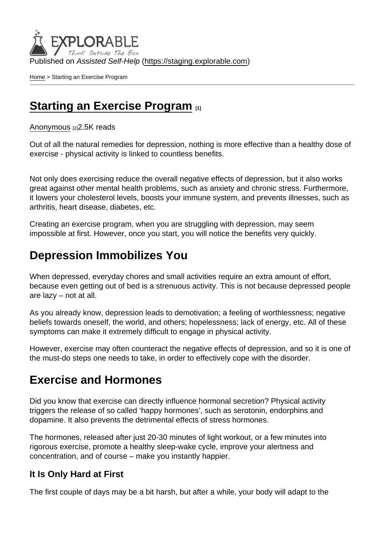Published on Assisted Self-Help [\(https://staging.explorable.com](https://staging.explorable.com))

[Home](https://staging.explorable.com/en) > Starting an Exercise Program

### [Starting an Exercise Program](https://staging.explorable.com/en/e/starting-an-exercise-program) [1]

### [Anonymous](https://staging.explorable.com/en/users/Liya Panayotova) [2] 2.5K reads

Out of all the natural remedies for depression, nothing is more effective than a healthy dose of exercise - physical activity is linked to countless benefits.

Not only does exercising reduce the overall negative effects of depression, but it also works great against other mental health problems, such as anxiety and chronic stress. Furthermore, it lowers your cholesterol levels, boosts your immune system, and prevents illnesses, such as arthritis, heart disease, diabetes, etc.

Creating an exercise program, when you are struggling with depression, may seem impossible at first. However, once you start, you will notice the benefits very quickly.

## Depression Immobilizes You

When depressed, everyday chores and small activities require an extra amount of effort, because even getting out of bed is a strenuous activity. This is not because depressed people are lazy – not at all.

As you already know, depression leads to demotivation; a feeling of worthlessness; negative beliefs towards oneself, the world, and others; hopelessness; lack of energy, etc. All of these symptoms can make it extremely difficult to engage in physical activity.

However, exercise may often counteract the negative effects of depression, and so it is one of the must-do steps one needs to take, in order to effectively cope with the disorder.

## Exercise and Hormones

Did you know that exercise can directly influence hormonal secretion? Physical activity triggers the release of so called 'happy hormones', such as serotonin, endorphins and dopamine. It also prevents the detrimental effects of stress hormones.

The hormones, released after just 20-30 minutes of light workout, or a few minutes into rigorous exercise, promote a healthy sleep-wake cycle, improve your alertness and concentration, and of course – make you instantly happier.

### It Is Only Hard at First

The first couple of days may be a bit harsh, but after a while, your body will adapt to the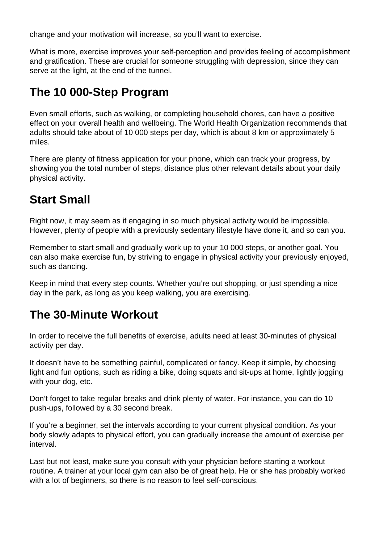change and your motivation will increase, so you'll want to exercise.

What is more, exercise improves your self-perception and provides feeling of accomplishment and gratification. These are crucial for someone struggling with depression, since they can serve at the light, at the end of the tunnel.

# **The 10 000-Step Program**

Even small efforts, such as walking, or completing household chores, can have a positive effect on your overall health and wellbeing. The World Health Organization recommends that adults should take about of 10 000 steps per day, which is about 8 km or approximately 5 miles.

There are plenty of fitness application for your phone, which can track your progress, by showing you the total number of steps, distance plus other relevant details about your daily physical activity.

## **Start Small**

Right now, it may seem as if engaging in so much physical activity would be impossible. However, plenty of people with a previously sedentary lifestyle have done it, and so can you.

Remember to start small and gradually work up to your 10 000 steps, or another goal. You can also make exercise fun, by striving to engage in physical activity your previously enjoyed, such as dancing.

Keep in mind that every step counts. Whether you're out shopping, or just spending a nice day in the park, as long as you keep walking, you are exercising.

# **The 30-Minute Workout**

In order to receive the full benefits of exercise, adults need at least 30-minutes of physical activity per day.

It doesn't have to be something painful, complicated or fancy. Keep it simple, by choosing light and fun options, such as riding a bike, doing squats and sit-ups at home, lightly jogging with your dog, etc.

Don't forget to take regular breaks and drink plenty of water. For instance, you can do 10 push-ups, followed by a 30 second break.

If you're a beginner, set the intervals according to your current physical condition. As your body slowly adapts to physical effort, you can gradually increase the amount of exercise per interval.

Last but not least, make sure you consult with your physician before starting a workout routine. A trainer at your local gym can also be of great help. He or she has probably worked with a lot of beginners, so there is no reason to feel self-conscious.